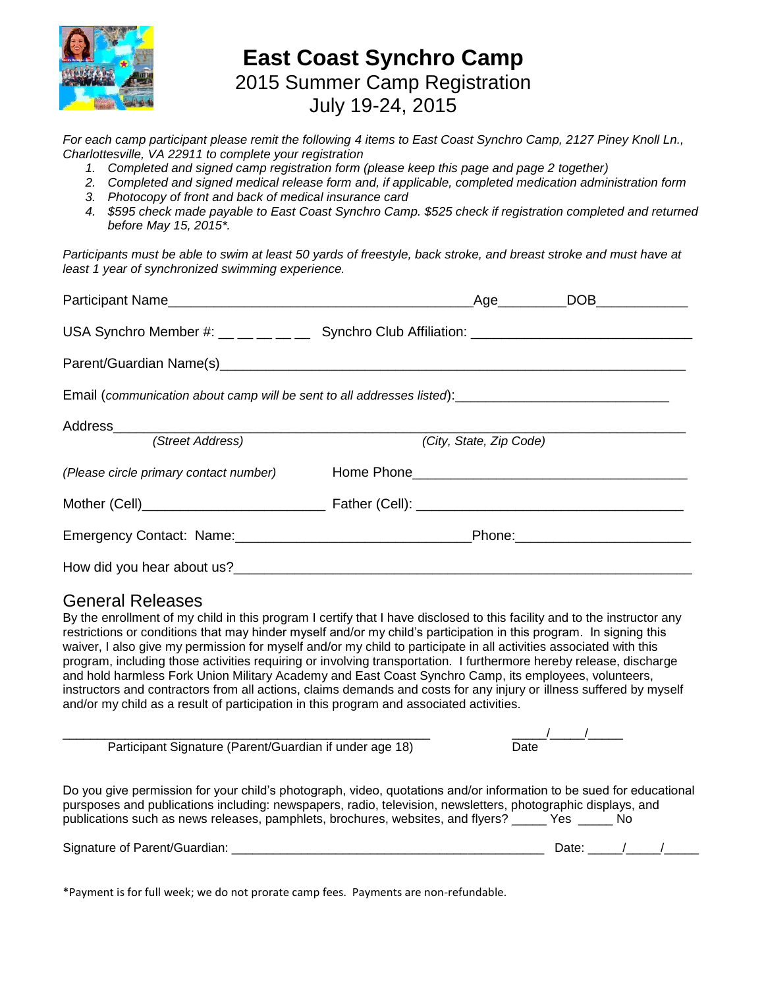

### **East Coast Synchro Camp** 2015 Summer Camp Registration July 19-24, 2015

*For each camp participant please remit the following 4 items to East Coast Synchro Camp, 2127 Piney Knoll Ln., Charlottesville, VA 22911 to complete your registration*

*1. Completed and signed camp registration form (please keep this page and page 2 together)*

- *2. Completed and signed medical release form and, if applicable, completed medication administration form*
- *3. Photocopy of front and back of medical insurance card*
- *4. \$595 check made payable to East Coast Synchro Camp. \$525 check if registration completed and returned before May 15, 2015\*.*

*Participants must be able to swim at least 50 yards of freestyle, back stroke, and breast stroke and must have at least 1 year of synchronized swimming experience.*

|                                                                                                      | USA Synchro Member #: __ __ __ __ Synchro Club Affiliation: ____________________ |  |  |  |
|------------------------------------------------------------------------------------------------------|----------------------------------------------------------------------------------|--|--|--|
|                                                                                                      |                                                                                  |  |  |  |
| Email (communication about camp will be sent to all addresses listed): _____________________________ |                                                                                  |  |  |  |
|                                                                                                      |                                                                                  |  |  |  |
| (Street Address)                                                                                     | (City, State, Zip Code)                                                          |  |  |  |
|                                                                                                      | (Please circle primary contact number) Thome Phone _____________________________ |  |  |  |
|                                                                                                      |                                                                                  |  |  |  |
|                                                                                                      |                                                                                  |  |  |  |
|                                                                                                      |                                                                                  |  |  |  |

#### General Releases

By the enrollment of my child in this program I certify that I have disclosed to this facility and to the instructor any restrictions or conditions that may hinder myself and/or my child's participation in this program. In signing this waiver, I also give my permission for myself and/or my child to participate in all activities associated with this program, including those activities requiring or involving transportation. I furthermore hereby release, discharge and hold harmless Fork Union Military Academy and East Coast Synchro Camp, its employees, volunteers, instructors and contractors from all actions, claims demands and costs for any injury or illness suffered by myself and/or my child as a result of participation in this program and associated activities.

| Participant Signature (Parent/Guardian if under age 18)                                                                                                                                                                                                                                                                       | Date |
|-------------------------------------------------------------------------------------------------------------------------------------------------------------------------------------------------------------------------------------------------------------------------------------------------------------------------------|------|
| Do you give permission for your child's photograph, video, quotations and/or information to be sued for educational<br>pursposes and publications including: newspapers, radio, television, newsletters, photographic displays, and<br>publications such as news releases, pamphlets, brochures, websites, and flyers? Yes No |      |

Signature of Parent/Guardian: \_\_\_\_\_\_\_\_\_\_\_\_\_\_\_\_\_\_\_\_\_\_\_\_\_\_\_\_\_\_\_\_\_\_\_\_\_\_\_\_\_\_\_\_\_ Date: \_\_\_\_\_/\_\_\_\_\_/\_\_\_\_\_

\*Payment is for full week; we do not prorate camp fees. Payments are non-refundable.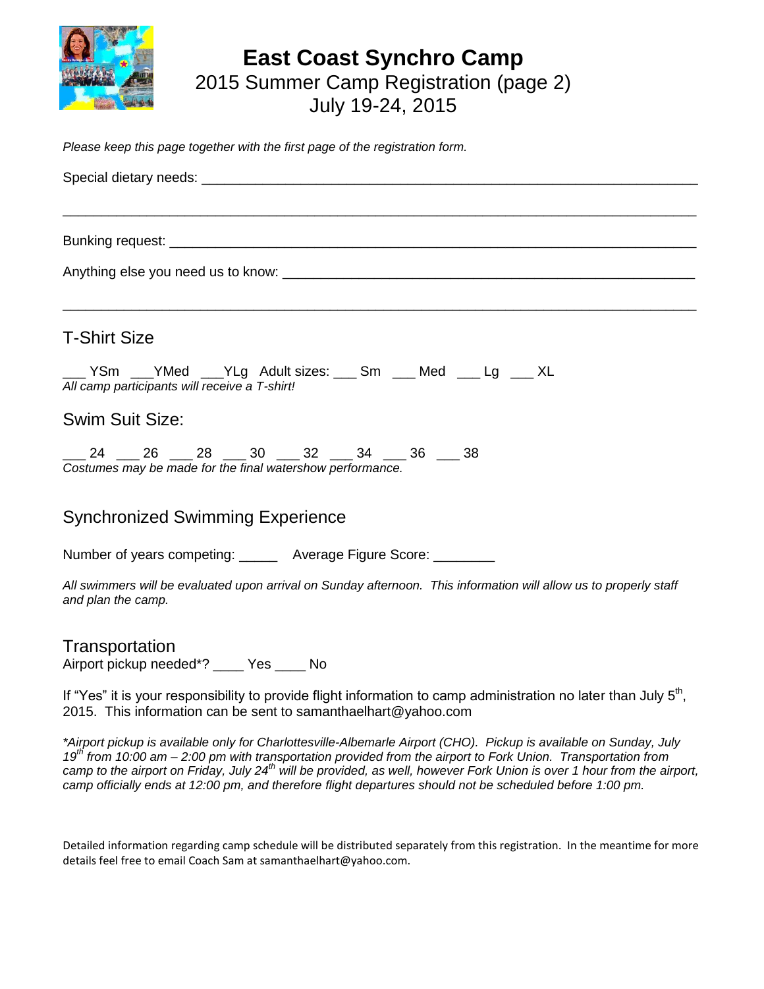

## **East Coast Synchro Camp** 2015 Summer Camp Registration (page 2) July 19-24, 2015

*Please keep this page together with the first page of the registration form.*

| <b>T-Shirt Size</b>                                                                                                                                                                            |  |  |  |  |
|------------------------------------------------------------------------------------------------------------------------------------------------------------------------------------------------|--|--|--|--|
| ___ YSm ___ YMed ___ YLg Adult sizes: ___ Sm ___ Med ___ Lg ___ XL<br>All camp participants will receive a T-shirt!                                                                            |  |  |  |  |
| <b>Swim Suit Size:</b>                                                                                                                                                                         |  |  |  |  |
| $24$ 26 28 30 32 32 34 36 38<br>Costumes may be made for the final watershow performance.                                                                                                      |  |  |  |  |
| <b>Synchronized Swimming Experience</b>                                                                                                                                                        |  |  |  |  |
| Number of years competing: _______ Average Figure Score: ________                                                                                                                              |  |  |  |  |
| All swimmers will be evaluated upon arrival on Sunday afternoon. This information will allow us to properly staff<br>and plan the camp.                                                        |  |  |  |  |
| Transportation<br>Airport pickup needed*? ____ Yes ____ No                                                                                                                                     |  |  |  |  |
| If "Yes" it is your responsibility to provide flight information to camp administration no later than July 5 <sup>th</sup> ,<br>2015. This information can be sent to samanthaelhart@yahoo.com |  |  |  |  |

*\*Airport pickup is available only for Charlottesville-Albemarle Airport (CHO). Pickup is available on Sunday, July 19th from 10:00 am – 2:00 pm with transportation provided from the airport to Fork Union. Transportation from camp to the airport on Friday, July 24th will be provided, as well, however Fork Union is over 1 hour from the airport, camp officially ends at 12:00 pm, and therefore flight departures should not be scheduled before 1:00 pm.*

Detailed information regarding camp schedule will be distributed separately from this registration. In the meantime for more details feel free to email Coach Sam at samanthaelhart@yahoo.com.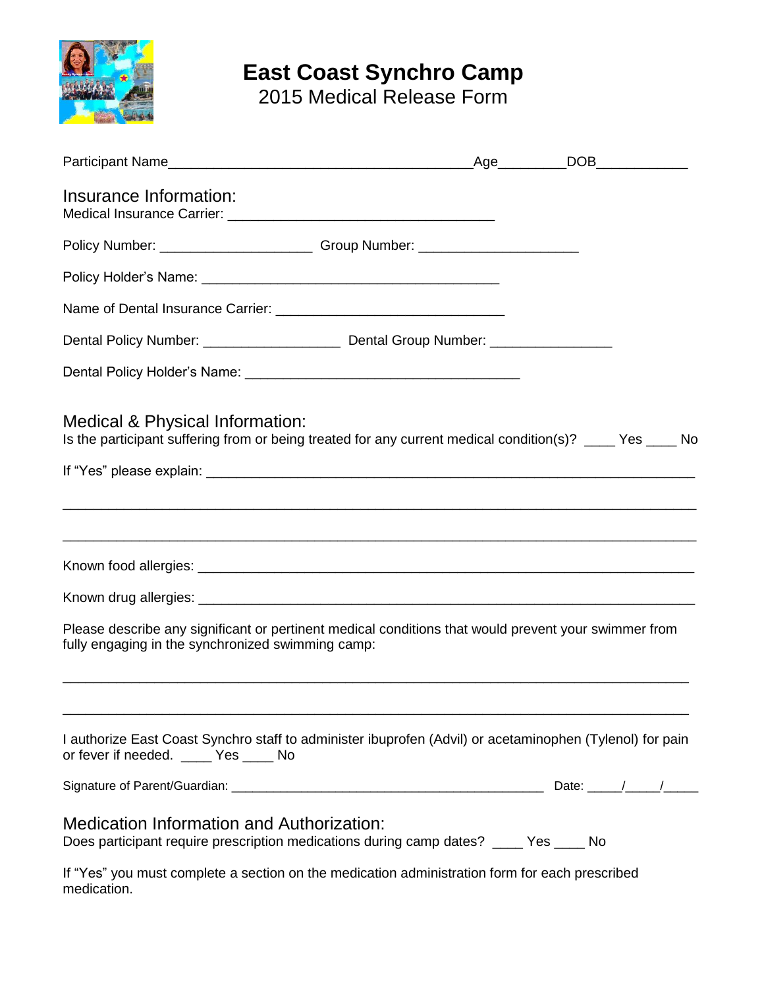

# **East Coast Synchro Camp**

2015 Medical Release Form

| Insurance Information:                                                                                                                                    |  |  |  |
|-----------------------------------------------------------------------------------------------------------------------------------------------------------|--|--|--|
| Policy Number: _________________________________Group Number: __________________                                                                          |  |  |  |
|                                                                                                                                                           |  |  |  |
|                                                                                                                                                           |  |  |  |
|                                                                                                                                                           |  |  |  |
|                                                                                                                                                           |  |  |  |
| Medical & Physical Information:<br>Is the participant suffering from or being treated for any current medical condition(s)? ____ Yes ____ No              |  |  |  |
|                                                                                                                                                           |  |  |  |
|                                                                                                                                                           |  |  |  |
|                                                                                                                                                           |  |  |  |
| Please describe any significant or pertinent medical conditions that would prevent your swimmer from<br>fully engaging in the synchronized swimming camp: |  |  |  |
| I authorize East Coast Synchro staff to administer ibuprofen (Advil) or acetaminophen (Tylenol) for pain<br>or fever if needed. _____ Yes _____ No        |  |  |  |
|                                                                                                                                                           |  |  |  |
| <b>Medication Information and Authorization:</b><br>Does participant require prescription medications during camp dates? ____ Yes ____ No                 |  |  |  |
| If "Yes" you must complete a section on the medication administration form for each prescribed<br>medication.                                             |  |  |  |